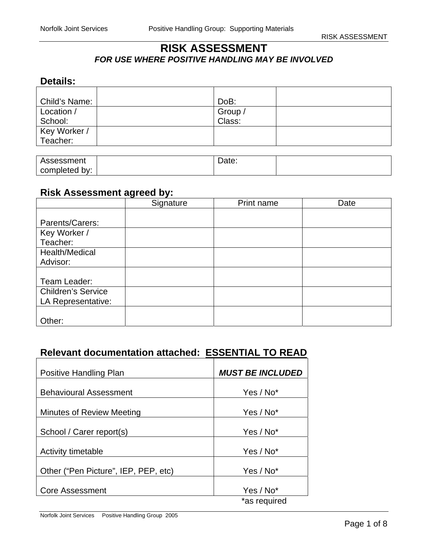## **RISK ASSESSMENT**  *FOR USE WHERE POSITIVE HANDLING MAY BE INVOLVED*

## **Details:**

| Child's Name:            | DoB:              |  |
|--------------------------|-------------------|--|
| Location /<br>School:    | Group /<br>Class: |  |
| Key Worker /<br>Teacher: |                   |  |

| Assessment    | Date: |  |
|---------------|-------|--|
| completed by: |       |  |

#### **Risk Assessment agreed by:**

|                           | Signature | Print name | Date |
|---------------------------|-----------|------------|------|
|                           |           |            |      |
| Parents/Carers:           |           |            |      |
| Key Worker /              |           |            |      |
| Teacher:                  |           |            |      |
| Health/Medical            |           |            |      |
| Advisor:                  |           |            |      |
|                           |           |            |      |
| Team Leader:              |           |            |      |
| <b>Children's Service</b> |           |            |      |
| LA Representative:        |           |            |      |
|                           |           |            |      |
| Other:                    |           |            |      |

# **Relevant documentation attached: ESSENTIAL TO READ**

| Positive Handling Plan               | <b>MUST BE INCLUDED</b>   |
|--------------------------------------|---------------------------|
| <b>Behavioural Assessment</b>        | Yes / No*                 |
| Minutes of Review Meeting            | Yes / No*                 |
| School / Carer report(s)             | Yes / No*                 |
| Activity timetable                   | Yes / No*                 |
|                                      |                           |
| Other ("Pen Picture", IEP, PEP, etc) | Yes / No*                 |
| <b>Core Assessment</b>               | Yes / No*<br>*as required |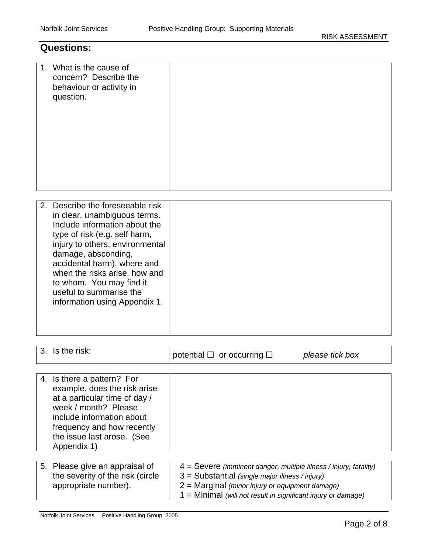## **Questions:**

| 1. What is the cause of<br>concern? Describe the<br>behaviour or activity in<br>question.                                                                                                                                                                                                                                                            |  |
|------------------------------------------------------------------------------------------------------------------------------------------------------------------------------------------------------------------------------------------------------------------------------------------------------------------------------------------------------|--|
| 2. Describe the foreseeable risk<br>in clear, unambiguous terms.<br>Include information about the<br>type of risk (e.g. self harm,<br>injury to others, environmental<br>damage, absconding,<br>accidental harm), where and<br>when the risks arise, how and<br>to whom. You may find it<br>useful to summarise the<br>information using Appendix 1. |  |

| 3. Is the risk:                                                                                                                                                                                                             | potential $\Box$ or occurring $\Box$<br>please tick box                                                                                                                       |
|-----------------------------------------------------------------------------------------------------------------------------------------------------------------------------------------------------------------------------|-------------------------------------------------------------------------------------------------------------------------------------------------------------------------------|
|                                                                                                                                                                                                                             |                                                                                                                                                                               |
| 4. Is there a pattern? For<br>example, does the risk arise<br>at a particular time of day /<br>week / month? Please<br>include information about<br>frequency and how recently<br>the issue last arose. (See<br>Appendix 1) |                                                                                                                                                                               |
|                                                                                                                                                                                                                             |                                                                                                                                                                               |
| 5. Please give an appraisal of<br>the severity of the risk (circle<br>appropriate number).                                                                                                                                  | $4 =$ Severe (imminent danger, multiple illness / injury, fatality)<br>$3 =$ Substantial (single major illness / injury)<br>$2$ = Marginal (minor injury or equipment damage) |

1 = Minimal *(will not result in significant injury or damage)*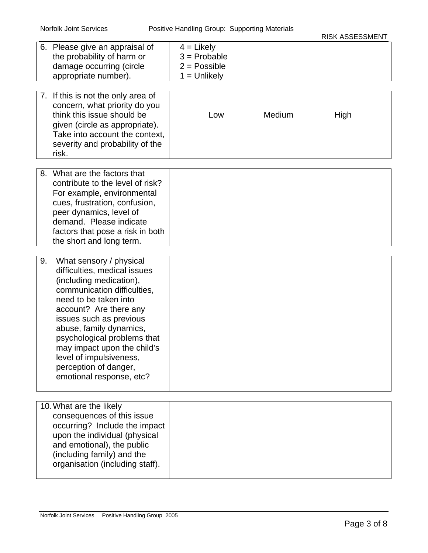#### Norfolk Joint Services Positive Handling Group: Supporting Materials

| 6. Please give an appraisal of<br>the probability of harm or<br>damage occurring (circle<br>appropriate number).<br>7. If this is not the only area of<br>concern, what priority do you<br>think this issue should be<br>given (circle as appropriate).<br>Take into account the context,<br>severity and probability of the                                                   | $4 =$ Likely<br>$3$ = Probable<br>$2 = Possible$<br>$1 =$ Unlikely<br>Low | Medium | High |
|--------------------------------------------------------------------------------------------------------------------------------------------------------------------------------------------------------------------------------------------------------------------------------------------------------------------------------------------------------------------------------|---------------------------------------------------------------------------|--------|------|
| risk.                                                                                                                                                                                                                                                                                                                                                                          |                                                                           |        |      |
| 8. What are the factors that<br>contribute to the level of risk?<br>For example, environmental<br>cues, frustration, confusion,<br>peer dynamics, level of<br>demand. Please indicate<br>factors that pose a risk in both<br>the short and long term.                                                                                                                          |                                                                           |        |      |
| 9.<br>What sensory / physical<br>difficulties, medical issues<br>(including medication),<br>communication difficulties,<br>need to be taken into<br>account? Are there any<br>issues such as previous<br>abuse, family dynamics,<br>psychological problems that<br>may impact upon the child's<br>level of impulsiveness,<br>perception of danger,<br>emotional response, etc? |                                                                           |        |      |
| 10. What are the likely<br>consequences of this issue<br>occurring? Include the impact<br>upon the individual (physical<br>and emotional), the public<br>(including family) and the<br>organisation (including staff).                                                                                                                                                         |                                                                           |        |      |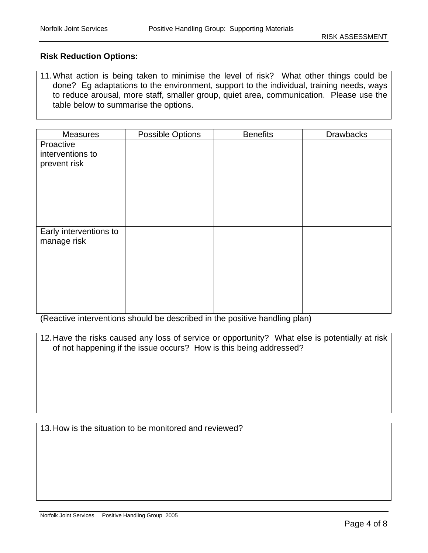#### **Risk Reduction Options:**

11. What action is being taken to minimise the level of risk? What other things could be done? Eg adaptations to the environment, support to the individual, training needs, ways to reduce arousal, more staff, smaller group, quiet area, communication. Please use the table below to summarise the options.

| <b>Measures</b>        | Possible Options | <b>Benefits</b> | <b>Drawbacks</b> |
|------------------------|------------------|-----------------|------------------|
| Proactive              |                  |                 |                  |
| interventions to       |                  |                 |                  |
| prevent risk           |                  |                 |                  |
|                        |                  |                 |                  |
|                        |                  |                 |                  |
|                        |                  |                 |                  |
|                        |                  |                 |                  |
|                        |                  |                 |                  |
| Early interventions to |                  |                 |                  |
| manage risk            |                  |                 |                  |
|                        |                  |                 |                  |
|                        |                  |                 |                  |
|                        |                  |                 |                  |
|                        |                  |                 |                  |
|                        |                  |                 |                  |
|                        |                  |                 |                  |

(Reactive interventions should be described in the positive handling plan)

| 12. Have the risks caused any loss of service or opportunity? What else is potentially at risk |
|------------------------------------------------------------------------------------------------|
| of not happening if the issue occurs? How is this being addressed?                             |
|                                                                                                |
|                                                                                                |
|                                                                                                |
|                                                                                                |

| 13. How is the situation to be monitored and reviewed? |  |
|--------------------------------------------------------|--|
|--------------------------------------------------------|--|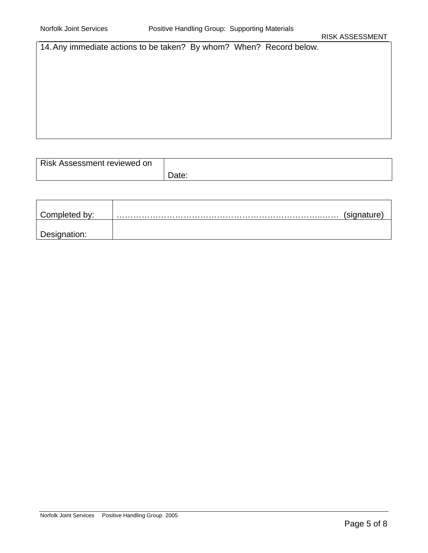14. Any immediate actions to be taken? By whom? When? Record below.

| Risk Assessment reviewed on |               |
|-----------------------------|---------------|
|                             | ገሓተል<br>υαισ. |

| Completed by: | (signature) |
|---------------|-------------|
|               |             |
| Designation:  |             |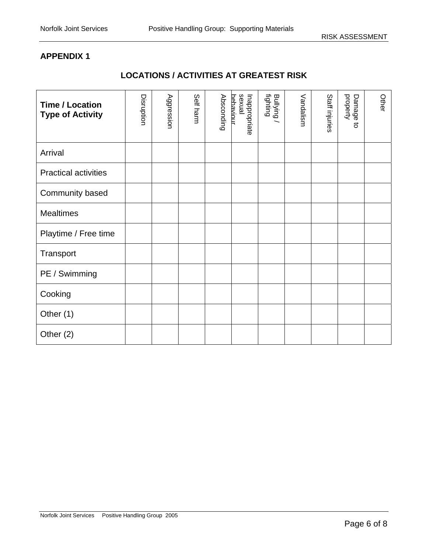### **APPENDIX 1**

## **LOCATIONS / ACTIVITIES AT GREATEST RISK**

| <b>Time / Location</b><br><b>Type of Activity</b> | Disruption | Aggression | Self harm | Absconding | lsuxual<br>hehaviour<br>Inappropriate | Bullying<br>fighting | Vandalism | Staff injuries | property<br>Damage<br>$\overline{5}$ | Other |
|---------------------------------------------------|------------|------------|-----------|------------|---------------------------------------|----------------------|-----------|----------------|--------------------------------------|-------|
| Arrival                                           |            |            |           |            |                                       |                      |           |                |                                      |       |
| <b>Practical activities</b>                       |            |            |           |            |                                       |                      |           |                |                                      |       |
| Community based                                   |            |            |           |            |                                       |                      |           |                |                                      |       |
| <b>Mealtimes</b>                                  |            |            |           |            |                                       |                      |           |                |                                      |       |
| Playtime / Free time                              |            |            |           |            |                                       |                      |           |                |                                      |       |
| Transport                                         |            |            |           |            |                                       |                      |           |                |                                      |       |
| PE / Swimming                                     |            |            |           |            |                                       |                      |           |                |                                      |       |
| Cooking                                           |            |            |           |            |                                       |                      |           |                |                                      |       |
| Other (1)                                         |            |            |           |            |                                       |                      |           |                |                                      |       |
| Other $(2)$                                       |            |            |           |            |                                       |                      |           |                |                                      |       |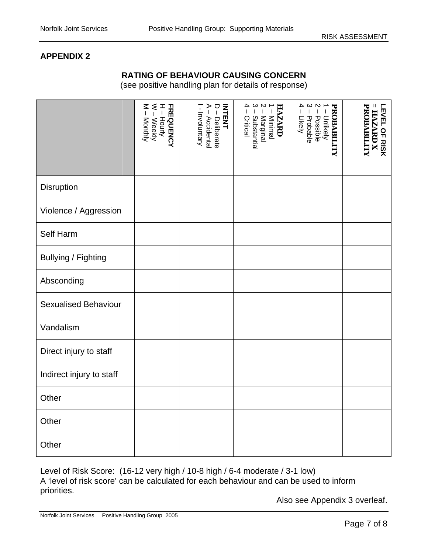#### **APPENDIX 2**

#### **RATING OF BEHAVIOUR CAUSING CONCERN**

(see positive handling plan for details of response)

|                             | W – Weekly<br>M – Monthly<br><b>FREQUENCY</b><br>H-Hourly | INTENT<br>$D - Deliberate$<br>A – Accidental<br>$\mathbf{r}$<br>Involuntary | 2 – Marginal<br>  3 – Substantial<br>  4 – Critical<br>1 – Minimal<br><b>HAZARD</b> | <b>PROBABILITY</b><br>1 – Unlikely<br>2 – Possible<br>3 – Probable<br>4 – Likely<br>Likely | Ш<br><b>PROBABILITY</b><br>LEVEL OF RISK<br><b>HAZARD X</b> |
|-----------------------------|-----------------------------------------------------------|-----------------------------------------------------------------------------|-------------------------------------------------------------------------------------|--------------------------------------------------------------------------------------------|-------------------------------------------------------------|
| Disruption                  |                                                           |                                                                             |                                                                                     |                                                                                            |                                                             |
| Violence / Aggression       |                                                           |                                                                             |                                                                                     |                                                                                            |                                                             |
| Self Harm                   |                                                           |                                                                             |                                                                                     |                                                                                            |                                                             |
| Bullying / Fighting         |                                                           |                                                                             |                                                                                     |                                                                                            |                                                             |
| Absconding                  |                                                           |                                                                             |                                                                                     |                                                                                            |                                                             |
| <b>Sexualised Behaviour</b> |                                                           |                                                                             |                                                                                     |                                                                                            |                                                             |
| Vandalism                   |                                                           |                                                                             |                                                                                     |                                                                                            |                                                             |
| Direct injury to staff      |                                                           |                                                                             |                                                                                     |                                                                                            |                                                             |
| Indirect injury to staff    |                                                           |                                                                             |                                                                                     |                                                                                            |                                                             |
| Other                       |                                                           |                                                                             |                                                                                     |                                                                                            |                                                             |
| Other                       |                                                           |                                                                             |                                                                                     |                                                                                            |                                                             |
| Other                       |                                                           |                                                                             |                                                                                     |                                                                                            |                                                             |

Level of Risk Score: (16-12 very high / 10-8 high / 6-4 moderate / 3-1 low) A 'level of risk score' can be calculated for each behaviour and can be used to inform priorities.

Also see Appendix 3 overleaf.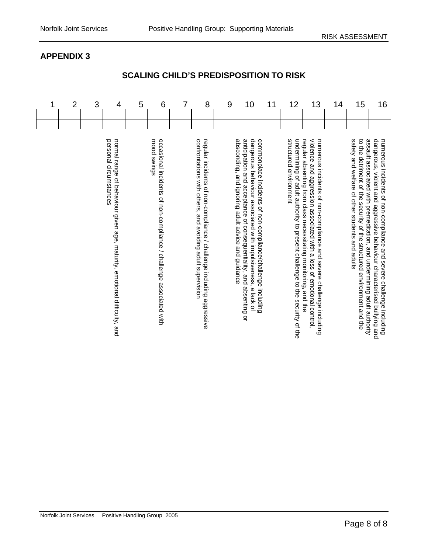#### Norfolk Joint Services Positive Handling Group 2005

| 1 | $\overline{2}$ | 3 | 4                                                                                                  | 5 | 6                                                                                 | 7 | 8                                                                                                                                  | 9 | 10                                                                                                                                                                                      | 11                                                          | 12                                                                                                   | 13                                                                                                                                                                                                            | 14 | 15                                                                                                                                                                                                  | 16                                                                                                                                            |
|---|----------------|---|----------------------------------------------------------------------------------------------------|---|-----------------------------------------------------------------------------------|---|------------------------------------------------------------------------------------------------------------------------------------|---|-----------------------------------------------------------------------------------------------------------------------------------------------------------------------------------------|-------------------------------------------------------------|------------------------------------------------------------------------------------------------------|---------------------------------------------------------------------------------------------------------------------------------------------------------------------------------------------------------------|----|-----------------------------------------------------------------------------------------------------------------------------------------------------------------------------------------------------|-----------------------------------------------------------------------------------------------------------------------------------------------|
|   |                |   | personal circumstances<br>normal range of behaviour given age, maturity, emotional difficulty, and |   | occasional incidents of non-compliance / challenge associated with<br>mood swings |   | confrontations with others, and avoiding adult supervision<br>regular incidents of non-compliance / challenge including aggressive |   | absconding, and ignoring adult advice and guidance<br>anticipation and acceptance of consequentiality, and absenting or<br>dangerous behaviour associated with impulsiveness, a lack of | commonplace incidents of non-compliance/challenge including | undermining of adult authority to present challenge to the security of the<br>structured environment | regular absenting from class necessitating monitoring, and the<br>violence and aggression associated with a loss of emotional control,<br>numerous incidents of non-compliance and severe challenge including |    | safety and welfare of other students and adults<br>to the detriment of the security of the structured environment and the<br>assault associated with premeditation, and undermining adult authority | dangerous, violent and aggressive behaviour characterised bullying and<br>numerous incidents of non-compliance and severe challenge including |

# **SCALING CHILD'S PREDISPOSITION TO RISK**

**APPENDIX 3**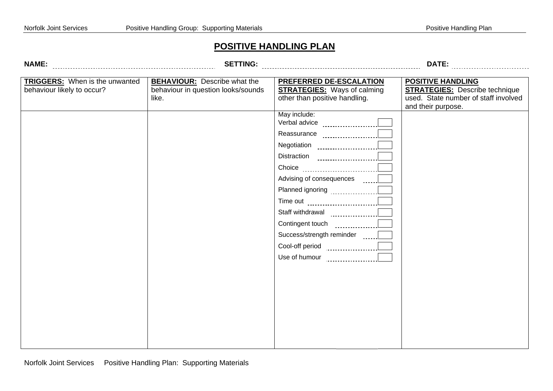#### **POSITIVE HANDLING PLAN**

|        | AMI |     |
|--------|-----|-----|
| u<br>u |     | . . |

**SETTING: DATE:**

| <b>TRIGGERS:</b> When is the unwanted<br>behaviour likely to occur? | <b>BEHAVIOUR:</b> Describe what the<br>behaviour in question looks/sounds<br>like. | PREFERRED DE-ESCALATION<br><b>STRATEGIES:</b> Ways of calming<br>other than positive handling. | <b>POSITIVE HANDLING</b><br><b>STRATEGIES:</b> Describe technique<br>used. State number of staff involved |
|---------------------------------------------------------------------|------------------------------------------------------------------------------------|------------------------------------------------------------------------------------------------|-----------------------------------------------------------------------------------------------------------|
|                                                                     |                                                                                    |                                                                                                | and their purpose.                                                                                        |
|                                                                     |                                                                                    | May include:                                                                                   |                                                                                                           |
|                                                                     |                                                                                    | Reassurance ____________________[                                                              |                                                                                                           |
|                                                                     |                                                                                    |                                                                                                |                                                                                                           |
|                                                                     |                                                                                    |                                                                                                |                                                                                                           |
|                                                                     |                                                                                    |                                                                                                |                                                                                                           |
|                                                                     |                                                                                    | Advising of consequences [1001]                                                                |                                                                                                           |
|                                                                     |                                                                                    |                                                                                                |                                                                                                           |
|                                                                     |                                                                                    | Time out <u></u>                                                                               |                                                                                                           |
|                                                                     |                                                                                    | Staff withdrawal <b>Staff</b> withdrawal                                                       |                                                                                                           |
|                                                                     |                                                                                    |                                                                                                |                                                                                                           |
|                                                                     |                                                                                    | Success/strength reminder [1001]                                                               |                                                                                                           |
|                                                                     |                                                                                    | Cool-off period <b>Cool-off</b> period                                                         |                                                                                                           |
|                                                                     |                                                                                    |                                                                                                |                                                                                                           |
|                                                                     |                                                                                    |                                                                                                |                                                                                                           |
|                                                                     |                                                                                    |                                                                                                |                                                                                                           |
|                                                                     |                                                                                    |                                                                                                |                                                                                                           |
|                                                                     |                                                                                    |                                                                                                |                                                                                                           |
|                                                                     |                                                                                    |                                                                                                |                                                                                                           |
|                                                                     |                                                                                    |                                                                                                |                                                                                                           |
|                                                                     |                                                                                    |                                                                                                |                                                                                                           |
|                                                                     |                                                                                    |                                                                                                |                                                                                                           |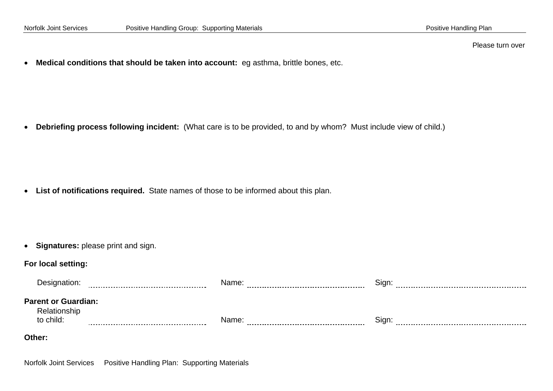Please turn over

• **Medical conditions that should be taken into account:** eg asthma, brittle bones, etc.

• **Debriefing process following incident:** (What care is to be provided, to and by whom? Must include view of child.)

• **List of notifications required.** State names of those to be informed about this plan.

• **Signatures:** please print and sign.

#### **For local setting:**

| Designation:                                            | .<br>. | Name:<br>.<br>. | Sign:     |
|---------------------------------------------------------|--------|-----------------|-----------|
| <b>Parent or Guardian:</b><br>Relationship<br>to child: |        | Name:           | Sign<br>. |
| Other:                                                  |        |                 |           |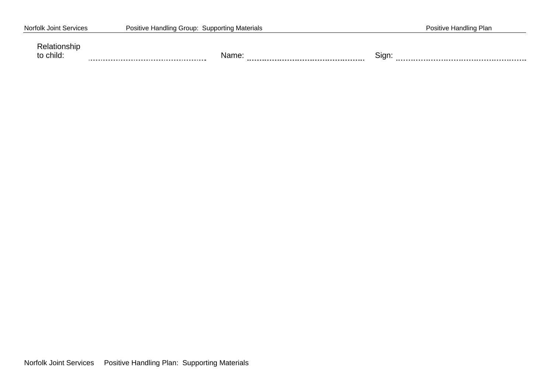| <b>Norfolk Joint Services</b> | Positive Handling Group: Supporting Materials | Positive Handling Plan |
|-------------------------------|-----------------------------------------------|------------------------|
| Relationship<br>to child:     | Name:                                         | Sign:                  |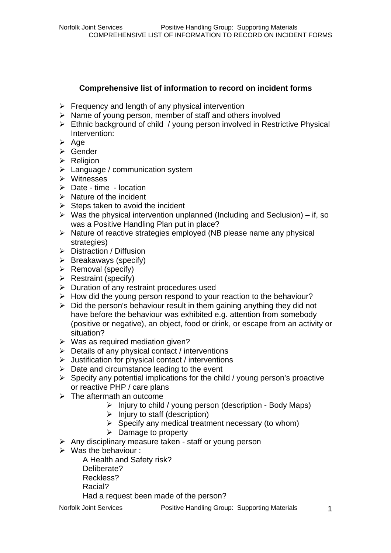## **Comprehensive list of information to record on incident forms**

- $\triangleright$  Frequency and length of any physical intervention
- $\triangleright$  Name of young person, member of staff and others involved
- ¾ Ethnic background of child / young person involved in Restrictive Physical Intervention:
- $\triangleright$  Age
- ¾ Gender
- $\triangleright$  Religion
- $\triangleright$  Language / communication system
- ¾ Witnesses
- $\triangleright$  Date time location
- $\triangleright$  Nature of the incident
- $\triangleright$  Steps taken to avoid the incident
- $\triangleright$  Was the physical intervention unplanned (Including and Seclusion) if, so was a Positive Handling Plan put in place?
- $\triangleright$  Nature of reactive strategies employed (NB please name any physical strategies)
- ¾ Distraction / Diffusion
- $\triangleright$  Breakaways (specify)
- $\triangleright$  Removal (specify)
- $\triangleright$  Restraint (specify)
- $\triangleright$  Duration of any restraint procedures used
- $\triangleright$  How did the young person respond to your reaction to the behaviour?
- $\triangleright$  Did the person's behaviour result in them gaining anything they did not have before the behaviour was exhibited e.g. attention from somebody (positive or negative), an object, food or drink, or escape from an activity or situation?
- $\triangleright$  Was as required mediation given?
- $\triangleright$  Details of any physical contact / interventions
- $\triangleright$  Justification for physical contact / interventions
- $\triangleright$  Date and circumstance leading to the event
- $\triangleright$  Specify any potential implications for the child / young person's proactive or reactive PHP / care plans
- $\triangleright$  The aftermath an outcome
	- $\triangleright$  Injury to child / young person (description Body Maps)
	- $\triangleright$  Injury to staff (description)
	- $\triangleright$  Specify any medical treatment necessary (to whom)
	- $\triangleright$  Damage to property
- $\triangleright$  Any disciplinary measure taken staff or young person
- $\triangleright$  Was the behaviour :

A Health and Safety risk?

- Deliberate?
- Reckless?
- Racial?

Had a request been made of the person?

Norfolk Joint Services **Positive Handling Group: Supporting Materials**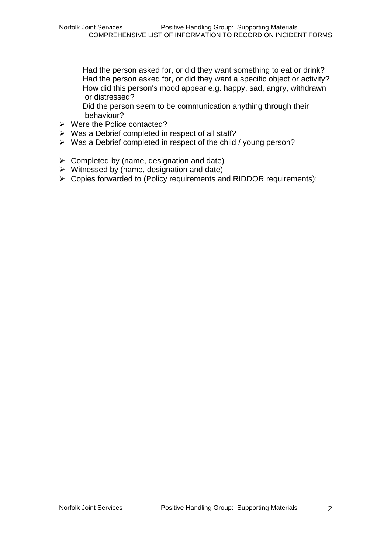Had the person asked for, or did they want something to eat or drink? Had the person asked for, or did they want a specific object or activity? How did this person's mood appear e.g. happy, sad, angry, withdrawn or distressed?

Did the person seem to be communication anything through their behaviour?

- ¾ Were the Police contacted?
- $\triangleright$  Was a Debrief completed in respect of all staff?
- ¾ Was a Debrief completed in respect of the child / young person?
- $\triangleright$  Completed by (name, designation and date)
- $\triangleright$  Witnessed by (name, designation and date)
- ¾ Copies forwarded to (Policy requirements and RIDDOR requirements):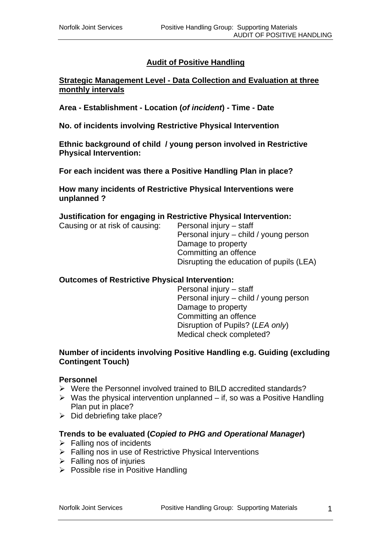## **Audit of Positive Handling**

#### **Strategic Management Level - Data Collection and Evaluation at three monthly intervals**

**Area - Establishment - Location (***of incident***) - Time - Date** 

**No. of incidents involving Restrictive Physical Intervention** 

**Ethnic background of child / young person involved in Restrictive Physical Intervention:** 

**For each incident was there a Positive Handling Plan in place?** 

**How many incidents of Restrictive Physical Interventions were unplanned ?** 

#### **Justification for engaging in Restrictive Physical Intervention:**

Causing or at risk of causing: Personal injury – staff Personal injury – child / young person Damage to property Committing an offence Disrupting the education of pupils (LEA)

#### **Outcomes of Restrictive Physical Intervention:**

Personal injury – staff Personal injury – child / young person Damage to property Committing an offence Disruption of Pupils? (*LEA only*) Medical check completed?

#### **Number of incidents involving Positive Handling e.g. Guiding (excluding Contingent Touch)**

#### **Personnel**

- $\triangleright$  Were the Personnel involved trained to BILD accredited standards?
- $\triangleright$  Was the physical intervention unplanned if, so was a Positive Handling Plan put in place?
- $\triangleright$  Did debriefing take place?

#### **Trends to be evaluated (***Copied to PHG and Operational Manager***)**

- $\triangleright$  Falling nos of incidents
- $\triangleright$  Falling nos in use of Restrictive Physical Interventions
- $\triangleright$  Falling nos of injuries
- $\triangleright$  Possible rise in Positive Handling